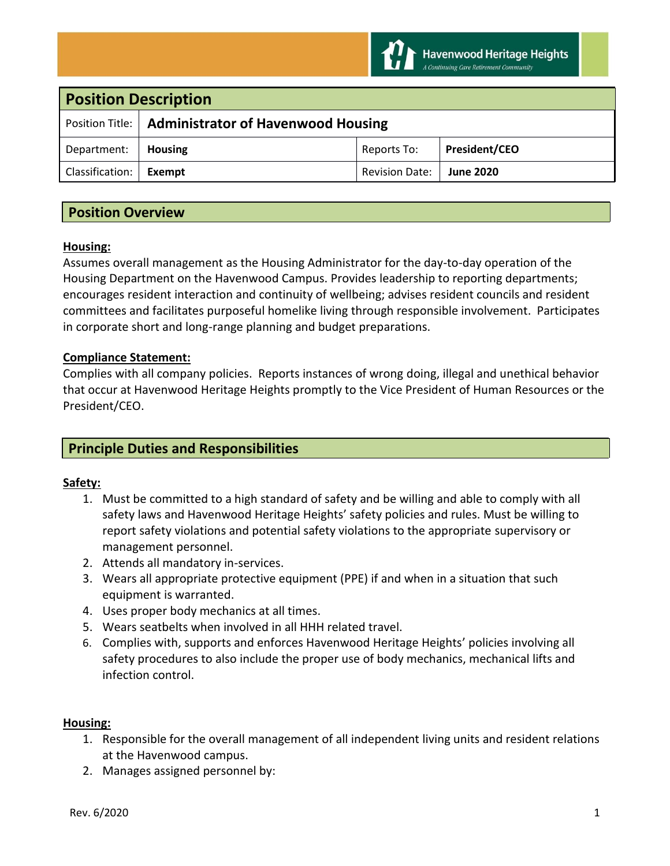

| <b>Position Description</b> |                                                      |                       |                      |
|-----------------------------|------------------------------------------------------|-----------------------|----------------------|
|                             | Position Title:   Administrator of Havenwood Housing |                       |                      |
| Department:                 | <b>Housing</b>                                       | Reports To:           | <b>President/CEO</b> |
| Classification:             | Exempt                                               | <b>Revision Date:</b> | <b>June 2020</b>     |

# **Position Overview**

### **Housing:**

Assumes overall management as the Housing Administrator for the day-to-day operation of the Housing Department on the Havenwood Campus. Provides leadership to reporting departments; encourages resident interaction and continuity of wellbeing; advises resident councils and resident committees and facilitates purposeful homelike living through responsible involvement. Participates in corporate short and long-range planning and budget preparations.

### **Compliance Statement:**

Complies with all company policies. Reports instances of wrong doing, illegal and unethical behavior that occur at Havenwood Heritage Heights promptly to the Vice President of Human Resources or the President/CEO.

# **Principle Duties and Responsibilities**

## **Safety:**

- 1. Must be committed to a high standard of safety and be willing and able to comply with all safety laws and Havenwood Heritage Heights' safety policies and rules. Must be willing to report safety violations and potential safety violations to the appropriate supervisory or management personnel.
- 2. Attends all mandatory in-services.
- 3. Wears all appropriate protective equipment (PPE) if and when in a situation that such equipment is warranted.
- 4. Uses proper body mechanics at all times.
- 5. Wears seatbelts when involved in all HHH related travel.
- 6. Complies with, supports and enforces Havenwood Heritage Heights' policies involving all safety procedures to also include the proper use of body mechanics, mechanical lifts and infection control.

#### **Housing:**

- 1. Responsible for the overall management of all independent living units and resident relations at the Havenwood campus.
- 2. Manages assigned personnel by: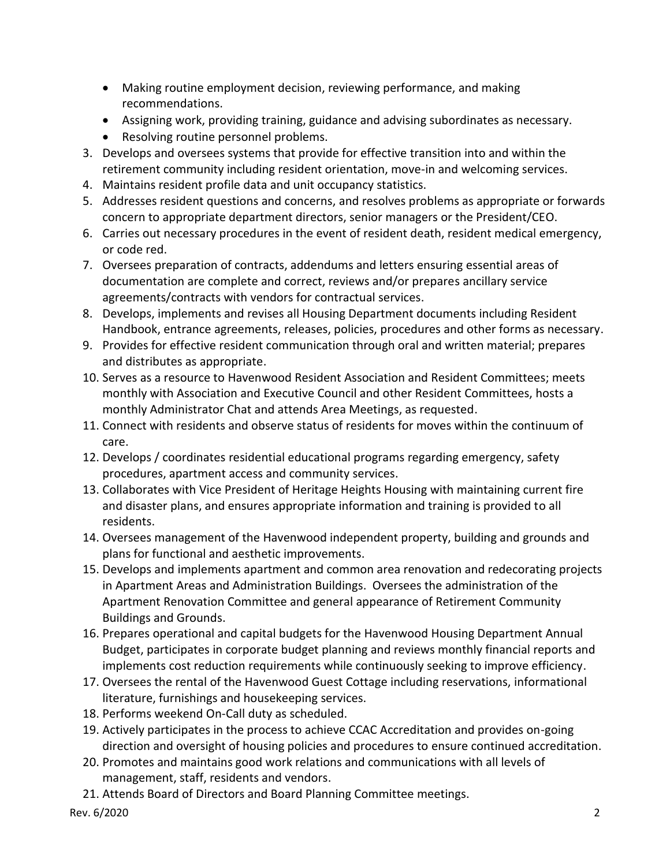- Making routine employment decision, reviewing performance, and making recommendations.
- Assigning work, providing training, guidance and advising subordinates as necessary.
- Resolving routine personnel problems.
- 3. Develops and oversees systems that provide for effective transition into and within the retirement community including resident orientation, move-in and welcoming services.
- 4. Maintains resident profile data and unit occupancy statistics.
- 5. Addresses resident questions and concerns, and resolves problems as appropriate or forwards concern to appropriate department directors, senior managers or the President/CEO.
- 6. Carries out necessary procedures in the event of resident death, resident medical emergency, or code red.
- 7. Oversees preparation of contracts, addendums and letters ensuring essential areas of documentation are complete and correct, reviews and/or prepares ancillary service agreements/contracts with vendors for contractual services.
- 8. Develops, implements and revises all Housing Department documents including Resident Handbook, entrance agreements, releases, policies, procedures and other forms as necessary.
- 9. Provides for effective resident communication through oral and written material; prepares and distributes as appropriate.
- 10. Serves as a resource to Havenwood Resident Association and Resident Committees; meets monthly with Association and Executive Council and other Resident Committees, hosts a monthly Administrator Chat and attends Area Meetings, as requested.
- 11. Connect with residents and observe status of residents for moves within the continuum of care.
- 12. Develops / coordinates residential educational programs regarding emergency, safety procedures, apartment access and community services.
- 13. Collaborates with Vice President of Heritage Heights Housing with maintaining current fire and disaster plans, and ensures appropriate information and training is provided to all residents.
- 14. Oversees management of the Havenwood independent property, building and grounds and plans for functional and aesthetic improvements.
- 15. Develops and implements apartment and common area renovation and redecorating projects in Apartment Areas and Administration Buildings. Oversees the administration of the Apartment Renovation Committee and general appearance of Retirement Community Buildings and Grounds.
- 16. Prepares operational and capital budgets for the Havenwood Housing Department Annual Budget, participates in corporate budget planning and reviews monthly financial reports and implements cost reduction requirements while continuously seeking to improve efficiency.
- 17. Oversees the rental of the Havenwood Guest Cottage including reservations, informational literature, furnishings and housekeeping services.
- 18. Performs weekend On-Call duty as scheduled.
- 19. Actively participates in the process to achieve CCAC Accreditation and provides on-going direction and oversight of housing policies and procedures to ensure continued accreditation.
- 20. Promotes and maintains good work relations and communications with all levels of management, staff, residents and vendors.
- 21. Attends Board of Directors and Board Planning Committee meetings.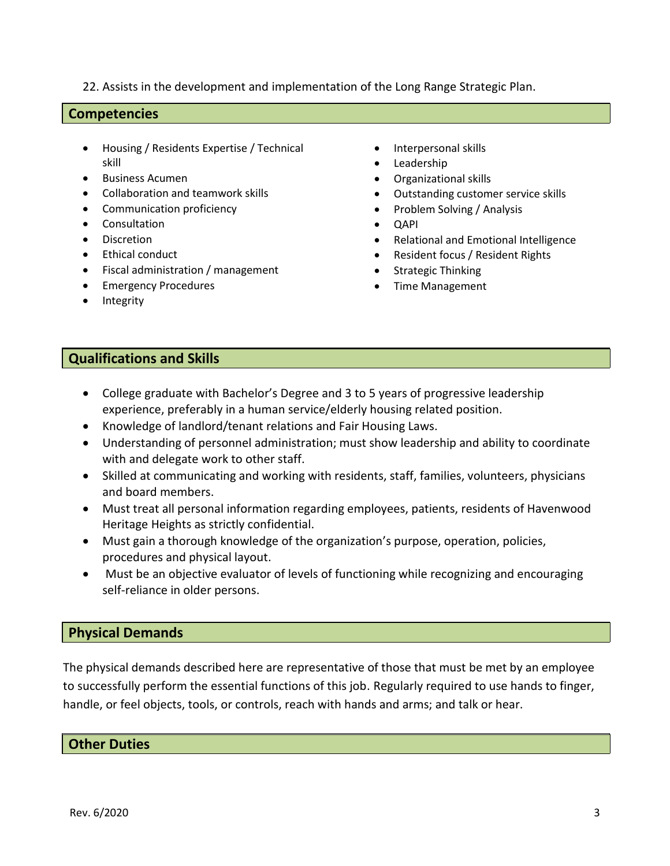22. Assists in the development and implementation of the Long Range Strategic Plan.

### **Competencies**

- Housing / Residents Expertise / Technical skill
- Business Acumen
- Collaboration and teamwork skills
- Communication proficiency
- Consultation
- Discretion
- Ethical conduct
- Fiscal administration / management
- Emergency Procedures
- Integrity
- Interpersonal skills
- Leadership
- Organizational skills
- Outstanding customer service skills
- Problem Solving / Analysis
- QAPI
- Relational and Emotional Intelligence
- Resident focus / Resident Rights
- Strategic Thinking
- Time Management

## **Qualifications and Skills**

- College graduate with Bachelor's Degree and 3 to 5 years of progressive leadership experience, preferably in a human service/elderly housing related position.
- Knowledge of landlord/tenant relations and Fair Housing Laws.
- Understanding of personnel administration; must show leadership and ability to coordinate with and delegate work to other staff.
- Skilled at communicating and working with residents, staff, families, volunteers, physicians and board members.
- Must treat all personal information regarding employees, patients, residents of Havenwood Heritage Heights as strictly confidential.
- Must gain a thorough knowledge of the organization's purpose, operation, policies, procedures and physical layout.
- Must be an objective evaluator of levels of functioning while recognizing and encouraging self-reliance in older persons.

## **Physical Demands**

The physical demands described here are representative of those that must be met by an employee to successfully perform the essential functions of this job. Regularly required to use hands to finger, handle, or feel objects, tools, or controls, reach with hands and arms; and talk or hear.

## **Other Duties**